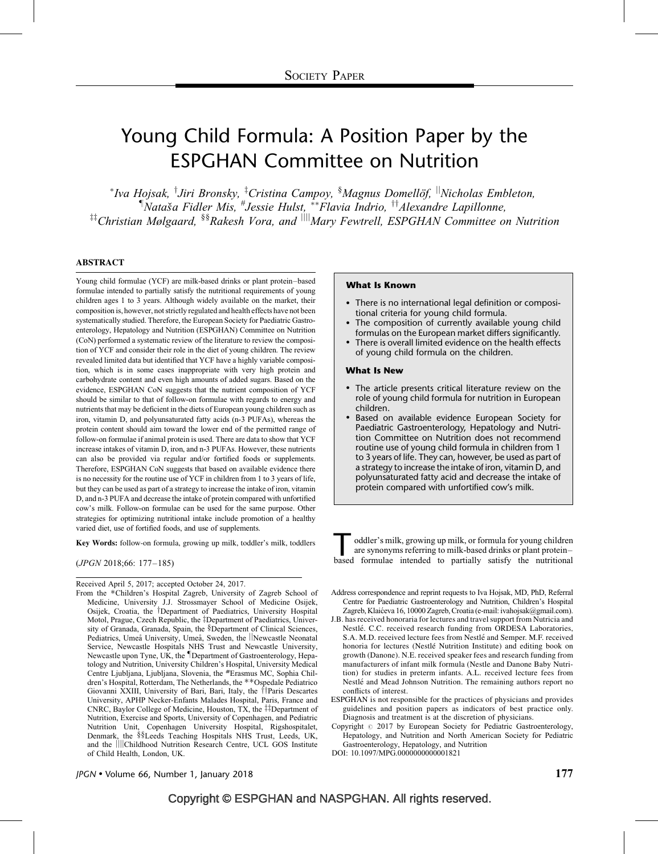# Young Child Formula: A Position Paper by the ESPGHAN Committee on Nutrition

\*Iva Hojsak, <sup>†</sup>Jiri Bronsky, <sup>‡</sup>Cristina Campoy, <sup>§</sup>Magnus Domellöf, <sup>||</sup>Nicholas Embleton,  $\n <sup>†</sup> Nataša Fidler Mis, <sup>#</sup>Jessie Hulst, <sup>**</sup>Flavia Indrio, <sup>††</sup> Alexandre Lapillonne,$  $^{11}$ Christian Mølgaard,  $^{88}$ Rakesh Vora, and  $^{111}$ Mary Fewtrell, ESPGHAN Committee on Nutrition

#### ABSTRACT

Young child formulae (YCF) are milk-based drinks or plant protein–based formulae intended to partially satisfy the nutritional requirements of young children ages 1 to 3 years. Although widely available on the market, their composition is, however, not strictly regulated and health effects have not been systematically studied. Therefore, the European Society for Paediatric Gastroenterology, Hepatology and Nutrition (ESPGHAN) Committee on Nutrition (CoN) performed a systematic review of the literature to review the composition of YCF and consider their role in the diet of young children. The review revealed limited data but identified that YCF have a highly variable composition, which is in some cases inappropriate with very high protein and carbohydrate content and even high amounts of added sugars. Based on the evidence, ESPGHAN CoN suggests that the nutrient composition of YCF should be similar to that of follow-on formulae with regards to energy and nutrients that may be deficient in the diets of European young children such as iron, vitamin D, and polyunsaturated fatty acids (n-3 PUFAs), whereas the protein content should aim toward the lower end of the permitted range of follow-on formulae if animal protein is used. There are data to show that YCF increase intakes of vitamin D, iron, and n-3 PUFAs. However, these nutrients can also be provided via regular and/or fortified foods or supplements. Therefore, ESPGHAN CoN suggests that based on available evidence there is no necessity for the routine use of YCF in children from 1 to 3 years of life, but they can be used as part of a strategy to increase the intake of iron, vitamin D, and n-3 PUFA and decrease the intake of protein compared with unfortified cow's milk. Follow-on formulae can be used for the same purpose. Other strategies for optimizing nutritional intake include promotion of a healthy varied diet, use of fortified foods, and use of supplements.

Key Words: follow-on formula, growing up milk, toddler's milk, toddlers

(JPGN 2018;66: 177–185)

Received April 5, 2017; accepted October 24, 2017.

From the \*Children's Hospital Zagreb, University of Zagreb School of Medicine, University J.J. Strossmayer School of Medicine Osijek, Osijek, Croatia, the <sup>†</sup>Department of Paediatrics, University Hospital Motol, Prague, Czech Republic, the ‡Department of Paediatrics, University of Granada, Granada, Spain, the §Department of Clinical Sciences, Pediatrics, Umeå University, Umeå, Sweden, the ||Newcastle Neonatal Service, Newcastle Hospitals NHS Trust and Newcastle University, Newcastle upon Tyne, UK, the *Department of Gastroenterology*, Hepatology and Nutrition, University Children's Hospital, University Medical Centre Ljubljana, Ljubljana, Slovenia, the #Erasmus MC, Sophia Children's Hospital, Rotterdam, The Netherlands, the \*\*Ospedale Pediatrico Giovanni XXIII, University of Bari, Bari, Italy, the ftParis Descartes University, APHP Necker-Enfants Malades Hospital, Paris, France and CNRC, Baylor College of Medicine, Houston, TX, the  $\ddagger$  $\ddagger$ Department of Nutrition, Exercise and Sports, University of Copenhagen, and Pediatric Nutrition Unit, Copenhagen University Hospital, Rigshospitalet, Denmark, the §§Leeds Teaching Hospitals NHS Trust, Leeds, UK, and the **jijjchildhood Nutrition Research Centre**, UCL GOS Institute of Child Health, London, UK.

#### What Is Known

- There is no international legal definition or compositional criteria for young child formula.
- The composition of currently available young child formulas on the European market differs significantly.
- There is overall limited evidence on the health effects of young child formula on the children.

#### What Is New

- The article presents critical literature review on the role of young child formula for nutrition in European children.
- Based on available evidence European Society for Paediatric Gastroenterology, Hepatology and Nutrition Committee on Nutrition does not recommend routine use of young child formula in children from 1 to 3 years of life. They can, however, be used as part of a strategy to increase the intake of iron, vitamin D, and polyunsaturated fatty acid and decrease the intake of protein compared with unfortified cow's milk.

oddler's milk, growing up milk, or formula for young children<br>are synonyms referring to milk-based drinks or plant protein-<br>based formulae intended to partially satisfy the nutritional are synonyms referring to milk-based drinks or plant protein– based formulae intended to partially satisfy the nutritional

- Address correspondence and reprint requests to Iva Hojsak, MD, PhD, Referral Centre for Paediatric Gastroenterology and Nutrition, Children's Hospital Zagreb, Klaićeva 16, 10000 Zagreb, Croatia (e-mail: [ivahojsak@gmail.com](mailto:ivahojsak@gmail.com)).
- J.B. has received honoraria for lectures and travel support from Nutricia and Nestlé. C.C. received research funding from ORDESA Laboratories, S.A. M.D. received lecture fees from Nestlé and Semper. M.F. received honoria for lectures (Nestlé Nutrition Institute) and editing book on growth (Danone). N.E. received speaker fees and research funding from manufacturers of infant milk formula (Nestle and Danone Baby Nutrition) for studies in preterm infants. A.L. received lecture fees from Nestlé and Mead Johnson Nutrition. The remaining authors report no conflicts of interest.
- ESPGHAN is not responsible for the practices of physicians and provides guidelines and position papers as indicators of best practice only. Diagnosis and treatment is at the discretion of physicians.
- Copyright  $@ 2017$  by European Society for Pediatric Gastroenterology, Hepatology, and Nutrition and North American Society for Pediatric Gastroenterology, Hepatology, and Nutrition

DOI: [10.1097/MPG.0000000000001821](http://dx.doi.org/10.1097/MPG.0000000000001821)

 $\mu$ GN • Volume 66, Number 1, January 2018 177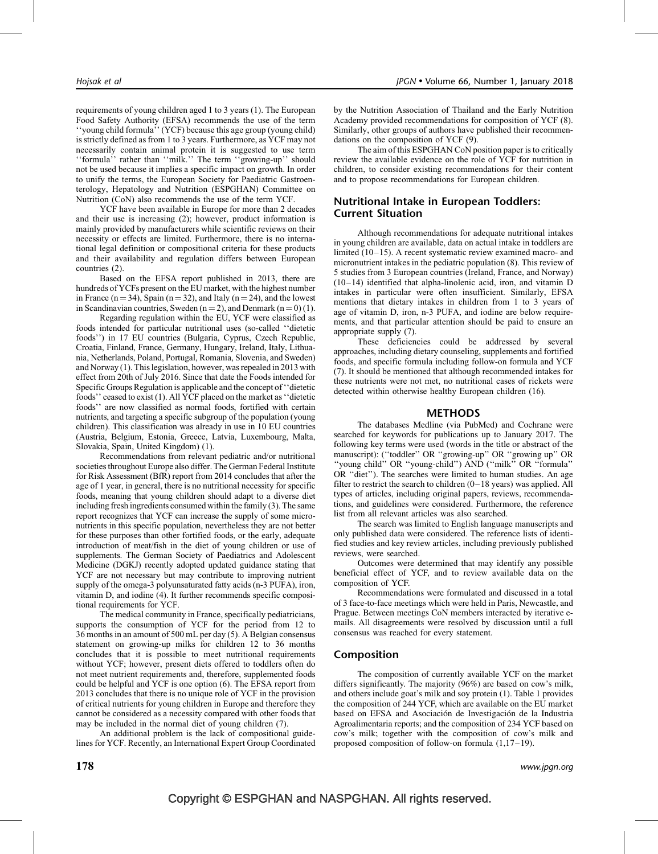requirements of young children aged 1 to 3 years [\(1\).](#page-7-0) The European Food Safety Authority (EFSA) recommends the use of the term ''young child formula'' (YCF) because this age group (young child) is strictly defined as from 1 to 3 years. Furthermore, as YCF may not necessarily contain animal protein it is suggested to use term ''formula'' rather than ''milk.'' The term ''growing-up'' should not be used because it implies a specific impact on growth. In order to unify the terms, the European Society for Paediatric Gastroenterology, Hepatology and Nutrition (ESPGHAN) Committee on Nutrition (CoN) also recommends the use of the term YCF.

YCF have been available in Europe for more than 2 decades and their use is increasing [\(2\);](#page-7-0) however, product information is mainly provided by manufacturers while scientific reviews on their necessity or effects are limited. Furthermore, there is no international legal definition or compositional criteria for these products and their availability and regulation differs between European countries [\(2\).](#page-7-0)

Based on the EFSA report published in 2013, there are hundreds of YCFs present on the EU market, with the highest number in France ( $n = 34$ ), Spain ( $n = 32$ ), and Italy ( $n = 24$ ), and the lowest in Scandinavian countries, Sweden ( $n = 2$ ), and Denmark ( $n = 0$ ) [\(1\)](#page-7-0).

Regarding regulation within the EU, YCF were classified as foods intended for particular nutritional uses (so-called ''dietetic foods'') in 17 EU countries (Bulgaria, Cyprus, Czech Republic, Croatia, Finland, France, Germany, Hungary, Ireland, Italy, Lithuania, Netherlands, Poland, Portugal, Romania, Slovenia, and Sweden) and Norway [\(1\)](#page-7-0). This legislation, however, was repealed in 2013 with effect from 20th of July 2016. Since that date the Foods intended for Specific Groups Regulation is applicable and the concept of ''dietetic foods'' ceased to exist [\(1\)](#page-7-0). All YCF placed on the market as ''dietetic foods'' are now classified as normal foods, fortified with certain nutrients, and targeting a specific subgroup of the population (young children). This classification was already in use in 10 EU countries (Austria, Belgium, Estonia, Greece, Latvia, Luxembourg, Malta, Slovakia, Spain, United Kingdom) [\(1\).](#page-7-0)

Recommendations from relevant pediatric and/or nutritional societies throughout Europe also differ. The German Federal Institute for Risk Assessment (BfR) report from 2014 concludes that after the age of 1 year, in general, there is no nutritional necessity for specific foods, meaning that young children should adapt to a diverse diet including fresh ingredients consumed within the family [\(3\)](#page-7-0). The same report recognizes that YCF can increase the supply of some micronutrients in this specific population, nevertheless they are not better for these purposes than other fortified foods, or the early, adequate introduction of meat/fish in the diet of young children or use of supplements. The German Society of Paediatrics and Adolescent Medicine (DGKJ) recently adopted updated guidance stating that YCF are not necessary but may contribute to improving nutrient supply of the omega-3 polyunsaturated fatty acids (n-3 PUFA), iron, vitamin D, and iodine [\(4\)](#page-7-0). It further recommends specific compositional requirements for YCF.

The medical community in France, specifically pediatricians, supports the consumption of YCF for the period from 12 to 36 months in an amount of 500 mL per day [\(5\)](#page-7-0). A Belgian consensus statement on growing-up milks for children 12 to 36 months concludes that it is possible to meet nutritional requirements without YCF; however, present diets offered to toddlers often do not meet nutrient requirements and, therefore, supplemented foods could be helpful and YCF is one option [\(6\)](#page-7-0). The EFSA report from 2013 concludes that there is no unique role of YCF in the provision of critical nutrients for young children in Europe and therefore they cannot be considered as a necessity compared with other foods that may be included in the normal diet of young children [\(7\)](#page-7-0).

An additional problem is the lack of compositional guidelines for YCF. Recently, an International Expert Group Coordinated by the Nutrition Association of Thailand and the Early Nutrition Academy provided recommendations for composition of YCF [\(8\).](#page-7-0) Similarly, other groups of authors have published their recommendations on the composition of YCF [\(9\)](#page-7-0).

The aim of this ESPGHAN CoN position paper is to critically review the available evidence on the role of YCF for nutrition in children, to consider existing recommendations for their content and to propose recommendations for European children.

### Nutritional Intake in European Toddlers: Current Situation

Although recommendations for adequate nutritional intakes in young children are available, data on actual intake in toddlers are limited [\(10–15\).](#page-7-0) A recent systematic review examined macro- and micronutrient intakes in the pediatric population [\(8\).](#page-7-0) This review of 5 studies from 3 European countries (Ireland, France, and Norway) [\(10–14\)](#page-7-0) identified that alpha-linolenic acid, iron, and vitamin D intakes in particular were often insufficient. Similarly, EFSA mentions that dietary intakes in children from 1 to 3 years of age of vitamin D, iron, n-3 PUFA, and iodine are below requirements, and that particular attention should be paid to ensure an appropriate supply [\(7\)](#page-7-0).

These deficiencies could be addressed by several approaches, including dietary counseling, supplements and fortified foods, and specific formula including follow-on formula and YCF [\(7\)](#page-7-0). It should be mentioned that although recommended intakes for these nutrients were not met, no nutritional cases of rickets were detected within otherwise healthy European children [\(16\)](#page-7-0).

#### METHODS

The databases Medline (via PubMed) and Cochrane were searched for keywords for publications up to January 2017. The following key terms were used (words in the title or abstract of the manuscript): (''toddler'' OR ''growing-up'' OR ''growing up'' OR ''young child'' OR ''young-child'') AND (''milk'' OR ''formula'' OR ''diet''). The searches were limited to human studies. An age filter to restrict the search to children (0–18 years) was applied. All types of articles, including original papers, reviews, recommendations, and guidelines were considered. Furthermore, the reference list from all relevant articles was also searched.

The search was limited to English language manuscripts and only published data were considered. The reference lists of identified studies and key review articles, including previously published reviews, were searched.

Outcomes were determined that may identify any possible beneficial effect of YCF, and to review available data on the composition of YCF.

Recommendations were formulated and discussed in a total of 3 face-to-face meetings which were held in Paris, Newcastle, and Prague. Between meetings CoN members interacted by iterative emails. All disagreements were resolved by discussion until a full consensus was reached for every statement.

#### Composition

The composition of currently available YCF on the market differs significantly. The majority (96%) are based on cow's milk, and others include goat's milk and soy protein [\(1\)](#page-7-0). [Table 1](#page-2-0) provides the composition of 244 YCF, which are available on the EU market based on EFSA and Asociación de Investigación de la Industria Agroalimentaria reports; and the composition of 234 YCF based on cow's milk; together with the composition of cow's milk and proposed composition of follow-on formula [\(1,17–19\).](#page-7-0)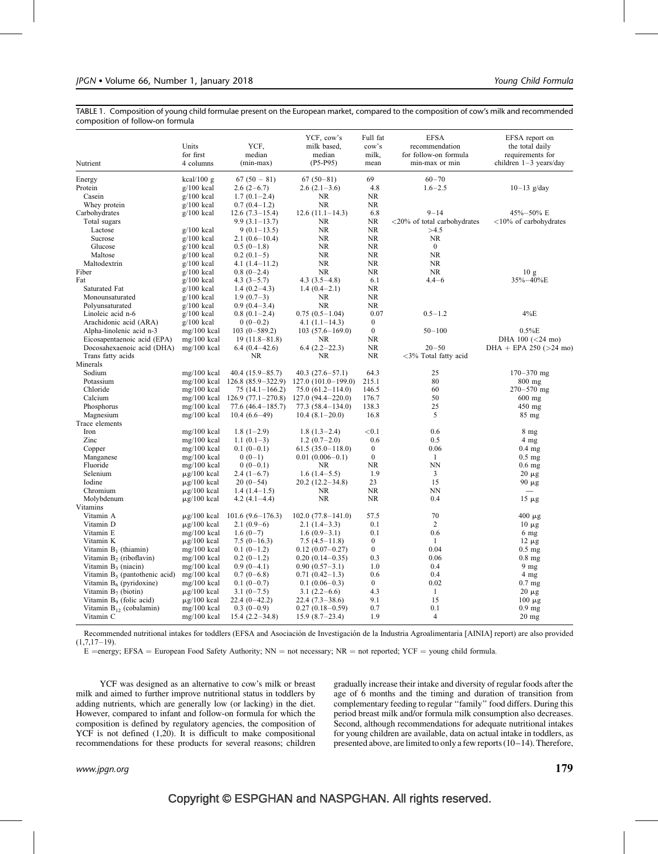<span id="page-2-0"></span>TABLE 1. Composition of young child formulae present on the European market, compared to the composition of cow's milk and recommended composition of follow-on formula

| Nutrient                            | Units<br>for first<br>4 columns | YCF.<br>median<br>$(min-max)$ | YCF, cow's<br>milk based,<br>median<br>$(P5-P95)$ | Full fat<br>cow's<br>milk,<br>mean | <b>EFSA</b><br>recommendation<br>for follow-on formula<br>min-max or min | EFSA report on<br>the total daily<br>requirements for<br>children $1-3$ years/day |
|-------------------------------------|---------------------------------|-------------------------------|---------------------------------------------------|------------------------------------|--------------------------------------------------------------------------|-----------------------------------------------------------------------------------|
| Energy                              | $kcal/100$ g                    | $67(50-81)$                   | $67(50-81)$                                       | 69                                 | $60 - 70$                                                                |                                                                                   |
| Protein                             | $g/100$ kcal                    | $2.6(2-6.7)$                  | $2.6(2.1-3.6)$                                    | 4.8                                | $1.6 - 2.5$                                                              | $10-13$ g/day                                                                     |
| Casein                              | $g/100$ kcal                    | $1.7(0.1-2.4)$                | NR                                                | NR                                 |                                                                          |                                                                                   |
| Whey protein                        | $g/100$ kcal                    | $0.7(0.4-1.2)$                | NR                                                | <b>NR</b>                          |                                                                          |                                                                                   |
| Carbohydrates                       | $g/100$ kcal                    | $12.6(7.3-15.4)$              | $12.6(11.1-14.3)$                                 | 6.8                                | $9 - 14$                                                                 | 45%-50% E                                                                         |
| Total sugars                        |                                 | $9.9(3.1-13.7)$               | <b>NR</b>                                         | NR                                 | <20% of total carbohydrates                                              | $<$ 10% of carbohydrates                                                          |
| Lactose                             | $g/100$ kcal                    | $9(0.1-13.5)$                 | <b>NR</b>                                         | <b>NR</b>                          | >4.5                                                                     |                                                                                   |
| Sucrose                             | $g/100$ kcal                    | $2.1(0.6-10.4)$               | <b>NR</b>                                         | <b>NR</b>                          | <b>NR</b>                                                                |                                                                                   |
| Glucose                             | $g/100$ kcal                    | $0.5(0-1.8)$                  | <b>NR</b>                                         | <b>NR</b>                          | $\mathbf{0}$                                                             |                                                                                   |
| Maltose                             | $g/100$ kcal                    | $0.2(0.1-5)$                  | <b>NR</b>                                         | <b>NR</b>                          | <b>NR</b>                                                                |                                                                                   |
| Maltodextrin                        | $g/100$ kcal                    | 4.1 $(1.4-11.2)$              | <b>NR</b>                                         | <b>NR</b>                          | <b>NR</b>                                                                |                                                                                   |
| Fiber                               | $g/100$ kcal                    | $0.8(0-2.4)$                  | <b>NR</b>                                         | <b>NR</b>                          | <b>NR</b>                                                                | 10g                                                                               |
| Fat                                 | $g/100$ kcal                    | $4.3(3-5.7)$                  | $4.3(3.5-4.8)$                                    | 6.1                                | $4.4 - 6$                                                                | 35%-40%E                                                                          |
| Saturated Fat                       | $g/100$ kcal                    | $1.4(0.2-4.3)$                | $1.4(0.4-2.1)$                                    | <b>NR</b>                          |                                                                          |                                                                                   |
| Monounsaturated                     | $g/100$ kcal                    | $1.9(0.7-3)$                  | NR.                                               | <b>NR</b>                          |                                                                          |                                                                                   |
| Polyunsaturated                     | $g/100$ kcal                    | $0.9(0.4-3.4)$                | <b>NR</b>                                         | NR                                 |                                                                          |                                                                                   |
| Linoleic acid n-6                   | $g/100$ kcal                    | $0.8(0.1-2.4)$                | $0.75(0.5-1.04)$                                  | 0.07                               | $0.5 - 1.2$                                                              | 4%E                                                                               |
| Arachidonic acid (ARA)              | $g/100$ kcal                    | $0(0-0.2)$                    | $4.1(1.1-14.3)$                                   | $\mathbf{0}$                       |                                                                          |                                                                                   |
| Alpha-linolenic acid n-3            | $mg/100$ kcal                   | $103(0-589.2)$                | $103(57.6 - 169.0)$                               | $\mathbf{0}$                       | $50 - 100$                                                               | 0.5%E                                                                             |
| Eicosapentaenoic acid (EPA)         | $mg/100$ kcal                   | $19(11.8-81.8)$               | NR                                                | <b>NR</b>                          |                                                                          | DHA 100 $(< 24$ mo)                                                               |
| Docosahexaenoic acid (DHA)          | $mg/100$ kcal                   | $6.4(0.4-42.6)$               | $6.4(2.2-22.3)$                                   | <b>NR</b>                          | $20 - 50$                                                                | DHA + EPA 250 ( $>$ 24 mo)                                                        |
| Trans fatty acids                   |                                 | <b>NR</b>                     | <b>NR</b>                                         | <b>NR</b>                          | <3% Total fatty acid                                                     |                                                                                   |
| Minerals                            |                                 |                               |                                                   |                                    |                                                                          |                                                                                   |
| Sodium                              | $mg/100$ kcal                   | $40.4(15.9-85.7)$             | $40.3(27.6-57.1)$                                 | 64.3                               | 25                                                                       | $170 - 370$ mg                                                                    |
| Potassium                           | $mg/100$ kcal                   | $126.8(85.9-322.9)$           | $127.0(101.0-199.0)$                              | 215.1                              | 80                                                                       | 800 mg                                                                            |
| Chloride                            | $mg/100$ kcal                   | $75(14.1 - 166.2)$            | $75.0(61.2 - 114.0)$                              | 146.5                              | 60                                                                       | $270 - 570$ mg                                                                    |
| Calcium                             | $mg/100$ kcal                   | $126.9(77.1-270.8)$           | $127.0(94.4 - 220.0)$                             | 176.7                              | 50                                                                       | 600 mg                                                                            |
| Phosphorus                          | $mg/100$ kcal                   | $77.6(46.4 - 185.7)$          | $77.3(58.4 - 134.0)$                              | 138.3                              | 25                                                                       | 450 mg                                                                            |
| Magnesium                           | mg/100 kcal                     | $10.4(6.6-49)$                | $10.4(8.1-20.0)$                                  | 16.8                               | 5                                                                        | 85 mg                                                                             |
| Trace elements                      |                                 |                               |                                                   |                                    |                                                                          |                                                                                   |
| Iron                                | mg/100 kcal                     | $1.8(1-2.9)$                  | $1.8(1.3-2.4)$                                    | < 0.1                              | 0.6                                                                      | $8 \text{ mg}$                                                                    |
| Zinc                                | $mg/100$ kcal                   | $1.1(0.1-3)$                  | $1.2(0.7-2.0)$                                    | 0.6                                | 0.5                                                                      | 4 <sub>mg</sub>                                                                   |
| Copper                              | $mg/100$ kcal                   | $0.1(0-0.1)$                  | $61.5(35.0 - 118.0)$                              | $\mathbf{0}$                       | 0.06                                                                     | $0.4$ mg                                                                          |
| Manganese                           | $mg/100$ kcal                   | $0(0-1)$                      | $0.01(0.006 - 0.1)$                               | $\bf{0}$                           | $\mathbf{1}$                                                             | $0.5$ mg                                                                          |
| Fluoride                            | $mg/100$ kcal                   | $0(0-0.1)$                    | NR.                                               | <b>NR</b>                          | <b>NN</b>                                                                | $0.6$ mg                                                                          |
| Selenium                            | $\mu$ g/100 kcal                | $2.4(1-6.7)$                  | $1.6(1.4-5.5)$                                    | 1.9                                | 3                                                                        | $20 \mu g$                                                                        |
| Iodine                              | $\mu$ g/100 kcal                | $20(0-54)$                    | $20.2(12.2 - 34.8)$                               | 23                                 | 15                                                                       | $90 \mu g$                                                                        |
| Chromium                            | $\mu$ g/100 kcal                | $1.4(1.4-1.5)$                | NR                                                | NR                                 | NN                                                                       |                                                                                   |
| Molybdenum                          | $\mu$ g/100 kcal                | 4.2 $(4.1-4.4)$               | <b>NR</b>                                         | <b>NR</b>                          | 0.4                                                                      | $15 \mu g$                                                                        |
| Vitamins                            |                                 |                               |                                                   |                                    |                                                                          |                                                                                   |
| Vitamin A                           | $\mu$ g/100 kcal                | $101.6(9.6-176.3)$            | $102.0(77.8-141.0)$                               | 57.5                               | 70                                                                       | $400 \mu g$                                                                       |
| Vitamin D                           | $\mu$ g/100 kcal                | $2.1(0.9-6)$                  | $2.1(1.4-3.3)$                                    | 0.1                                | 2                                                                        | $10 \mu g$                                                                        |
| Vitamin E                           | $mg/100$ kcal                   | $1.6(0-7)$                    | $1.6(0.9-3.1)$                                    | 0.1                                | 0.6                                                                      | 6 <sub>mg</sub>                                                                   |
| Vitamin K                           | $\mu$ g/100 kcal                | $7.5(0-16.3)$                 | $7.5(4.5-11.8)$                                   | $\boldsymbol{0}$                   | $\mathbf{1}$                                                             | $12 \mu g$                                                                        |
| Vitamin $B_1$ (thiamin)             | $mg/100$ kcal                   | $0.1(0-1.2)$                  | $0.12(0.07-0.27)$                                 | $\mathbf{0}$                       | 0.04                                                                     | $0.5$ mg                                                                          |
| Vitamin $B_2$ (riboflavin)          | $mg/100$ kcal                   | $0.2(0-1.2)$                  | $0.20(0.14-0.35)$                                 | 0.3                                | 0.06                                                                     | $0.8$ mg                                                                          |
| Vitamin $B_3$ (niacin)              | $mg/100$ kcal                   | $0.9(0-4.1)$                  | $0.90(0.57-3.1)$                                  | 1.0                                | 0.4                                                                      | $9 \text{ mg}$                                                                    |
| Vitamin $B_5$ (pantothenic acid)    | $mg/100$ kcal                   | $0.7(0-6.8)$                  | $0.71(0.42-1.3)$                                  | 0.6                                | 0.4                                                                      | $4 \text{ mg}$                                                                    |
| Vitamin $B_6$ (pyridoxine)          | $mg/100$ kcal                   | $0.1(0-0.7)$                  | $0.1(0.06-0.3)$                                   | $\overline{0}$                     | 0.02                                                                     | $0.7$ mg                                                                          |
| Vitamin $B_7$ (biotin)              | $\mu$ g/100 kcal                | $3.1(0-7.5)$                  | $3.1(2.2-6.6)$                                    | 4.3                                | $\mathbf{1}$                                                             | $20 \mu g$                                                                        |
| Vitamin B <sub>9</sub> (folic acid) | $\mu$ g/100 kcal                | $22.4(0-42.2)$                | $22.4(7.3-38.6)$                                  | 9.1                                | 15                                                                       | $100 \mu g$                                                                       |
| Vitamin $B_{12}$ (cobalamin)        | $mg/100$ kcal                   | $0.3(0-0.9)$                  | $0.27(0.18-0.59)$                                 | 0.7                                | 0.1                                                                      | $0.9$ mg                                                                          |
| Vitamin C                           | $mg/100$ kcal                   | $15.4(2.2 - 34.8)$            | $15.9(8.7-23.4)$                                  | 1.9                                | $\overline{4}$                                                           | $20$ mg                                                                           |

Recommended nutritional intakes for toddlers (EFSA and Asociación de Investigación de la Industria Agroalimentaria [AINIA] report) are also provided  $(1,7,17-19)$ .

 $E =$ energy; EFSA = European Food Safety Authority; NN = not necessary; NR = not reported; YCF = young child formula.

YCF was designed as an alternative to cow's milk or breast milk and aimed to further improve nutritional status in toddlers by adding nutrients, which are generally low (or lacking) in the diet. However, compared to infant and follow-on formula for which the composition is defined by regulatory agencies, the composition of YCF is not defined [\(1,20\).](#page-7-0) It is difficult to make compositional recommendations for these products for several reasons; children gradually increase their intake and diversity of regular foods after the age of 6 months and the timing and duration of transition from complementary feeding to regular ''family'' food differs. During this period breast milk and/or formula milk consumption also decreases. Second, although recommendations for adequate nutritional intakes for young children are available, data on actual intake in toddlers, as presented above, are limited to only a few reports [\(10–14\)](#page-7-0). Therefore,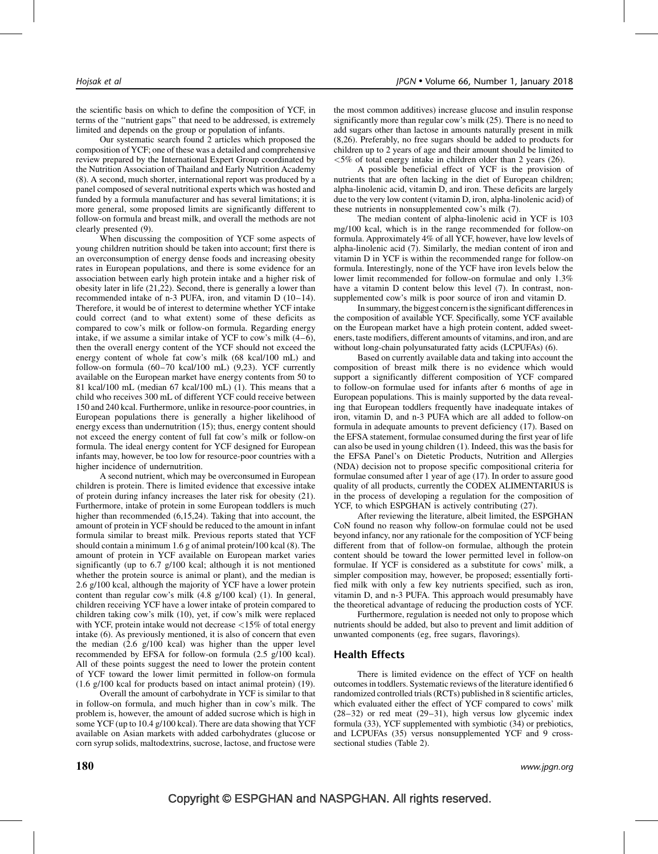the scientific basis on which to define the composition of YCF, in terms of the ''nutrient gaps'' that need to be addressed, is extremely limited and depends on the group or population of infants.

Our systematic search found 2 articles which proposed the composition of YCF; one of these was a detailed and comprehensive review prepared by the International Expert Group coordinated by the Nutrition Association of Thailand and Early Nutrition Academy [\(8\).](#page-7-0) A second, much shorter, international report was produced by a panel composed of several nutritional experts which was hosted and funded by a formula manufacturer and has several limitations; it is more general, some proposed limits are significantly different to follow-on formula and breast milk, and overall the methods are not clearly presented [\(9\).](#page-7-0)

When discussing the composition of YCF some aspects of young children nutrition should be taken into account; first there is an overconsumption of energy dense foods and increasing obesity rates in European populations, and there is some evidence for an association between early high protein intake and a higher risk of obesity later in life [\(21,22\)](#page-7-0). Second, there is generally a lower than recommended intake of n-3 PUFA, iron, and vitamin D [\(10–14\)](#page-7-0). Therefore, it would be of interest to determine whether YCF intake could correct (and to what extent) some of these deficits as compared to cow's milk or follow-on formula. Regarding energy intake, if we assume a similar intake of YCF to cow's milk [\(4–6\)](#page-7-0), then the overall energy content of the YCF should not exceed the energy content of whole fat cow's milk (68 kcal/100 mL) and follow-on formula (60–70 kcal/100 mL) [\(9,23\).](#page-7-0) YCF currently available on the European market have energy contents from 50 to 81 kcal/100 mL (median 67 kcal/100 mL) [\(1\)](#page-7-0). This means that a child who receives 300 mL of different YCF could receive between 150 and 240 kcal. Furthermore, unlike in resource-poor countries, in European populations there is generally a higher likelihood of energy excess than undernutrition [\(15\);](#page-7-0) thus, energy content should not exceed the energy content of full fat cow's milk or follow-on formula. The ideal energy content for YCF designed for European infants may, however, be too low for resource-poor countries with a higher incidence of undernutrition.

A second nutrient, which may be overconsumed in European children is protein. There is limited evidence that excessive intake of protein during infancy increases the later risk for obesity [\(21\)](#page-7-0). Furthermore, intake of protein in some European toddlers is much higher than recommended [\(6,15,24\)](#page-7-0). Taking that into account, the amount of protein in YCF should be reduced to the amount in infant formula similar to breast milk. Previous reports stated that YCF should contain a minimum 1.6 g of animal protein/100 kcal [\(8\)](#page-7-0). The amount of protein in YCF available on European market varies significantly (up to 6.7 g/100 kcal; although it is not mentioned whether the protein source is animal or plant), and the median is 2.6 g/100 kcal, although the majority of YCF have a lower protein content than regular cow's milk (4.8 g/100 kcal) [\(1\)](#page-7-0). In general, children receiving YCF have a lower intake of protein compared to children taking cow's milk [\(10\),](#page-7-0) yet, if cow's milk were replaced with YCF, protein intake would not decrease <15% of total energy intake [\(6\)](#page-7-0). As previously mentioned, it is also of concern that even the median (2.6 g/100 kcal) was higher than the upper level recommended by EFSA for follow-on formula (2.5 g/100 kcal). All of these points suggest the need to lower the protein content of YCF toward the lower limit permitted in follow-on formula (1.6 g/100 kcal for products based on intact animal protein) [\(19\).](#page-7-0)

Overall the amount of carbohydrate in YCF is similar to that in follow-on formula, and much higher than in cow's milk. The problem is, however, the amount of added sucrose which is high in some YCF (up to 10.4 g/100 kcal). There are data showing that YCF available on Asian markets with added carbohydrates (glucose or corn syrup solids, maltodextrins, sucrose, lactose, and fructose were the most common additives) increase glucose and insulin response significantly more than regular cow's milk [\(25\).](#page-7-0) There is no need to add sugars other than lactose in amounts naturally present in milk [\(8,26\).](#page-7-0) Preferably, no free sugars should be added to products for children up to 2 years of age and their amount should be limited to  $\langle 5\% \rangle$  of total energy intake in children older than 2 years [\(26\)](#page-7-0).

A possible beneficial effect of YCF is the provision of nutrients that are often lacking in the diet of European children; alpha-linolenic acid, vitamin D, and iron. These deficits are largely due to the very low content (vitamin D, iron, alpha-linolenic acid) of these nutrients in nonsupplemented cow's milk [\(7\).](#page-7-0)

The median content of alpha-linolenic acid in YCF is 103 mg/100 kcal, which is in the range recommended for follow-on formula. Approximately 4% of all YCF, however, have low levels of alpha-linolenic acid [\(7\)](#page-7-0). Similarly, the median content of iron and vitamin D in YCF is within the recommended range for follow-on formula. Interestingly, none of the YCF have iron levels below the lower limit recommended for follow-on formulae and only 1.3% have a vitamin D content below this level  $(7)$ . In contrast, nonsupplemented cow's milk is poor source of iron and vitamin D.

In summary, the biggest concern is the significant differences in the composition of available YCF. Specifically, some YCF available on the European market have a high protein content, added sweeteners, taste modifiers, different amounts of vitamins, and iron, and are without long-chain polyunsaturated fatty acids (LCPUFAs) [\(6\)](#page-7-0).

Based on currently available data and taking into account the composition of breast milk there is no evidence which would support a significantly different composition of YCF compared to follow-on formulae used for infants after 6 months of age in European populations. This is mainly supported by the data revealing that European toddlers frequently have inadequate intakes of iron, vitamin D, and n-3 PUFA which are all added to follow-on formula in adequate amounts to prevent deficiency [\(17\)](#page-7-0). Based on the EFSA statement, formulae consumed during the first year of life can also be used in young children [\(1\)](#page-7-0). Indeed, this was the basis for the EFSA Panel's on Dietetic Products, Nutrition and Allergies (NDA) decision not to propose specific compositional criteria for formulae consumed after 1 year of age [\(17\).](#page-7-0) In order to assure good quality of all products, currently the CODEX ALIMENTARIUS is in the process of developing a regulation for the composition of YCF, to which ESPGHAN is actively contributing [\(27\).](#page-7-0)

After reviewing the literature, albeit limited, the ESPGHAN CoN found no reason why follow-on formulae could not be used beyond infancy, nor any rationale for the composition of YCF being different from that of follow-on formulae, although the protein content should be toward the lower permitted level in follow-on formulae. If YCF is considered as a substitute for cows' milk, a simpler composition may, however, be proposed; essentially fortified milk with only a few key nutrients specified, such as iron, vitamin D, and n-3 PUFA. This approach would presumably have the theoretical advantage of reducing the production costs of YCF.

Furthermore, regulation is needed not only to propose which nutrients should be added, but also to prevent and limit addition of unwanted components (eg, free sugars, flavorings).

#### Health Effects

There is limited evidence on the effect of YCF on health outcomes in toddlers. Systematic reviews of the literature identified 6 randomized controlled trials (RCTs) published in 8 scientific articles, which evaluated either the effect of YCF compared to cows' milk [\(28–32\)](#page-7-0) or red meat [\(29–31\),](#page-7-0) high versus low glycemic index formula [\(33\)](#page-8-0), YCF supplemented with symbiotic [\(34\)](#page-8-0) or prebiotics, and LCPUFAs [\(35\)](#page-8-0) versus nonsupplemented YCF and 9 crosssectional studies [\(Table 2\)](#page-4-0).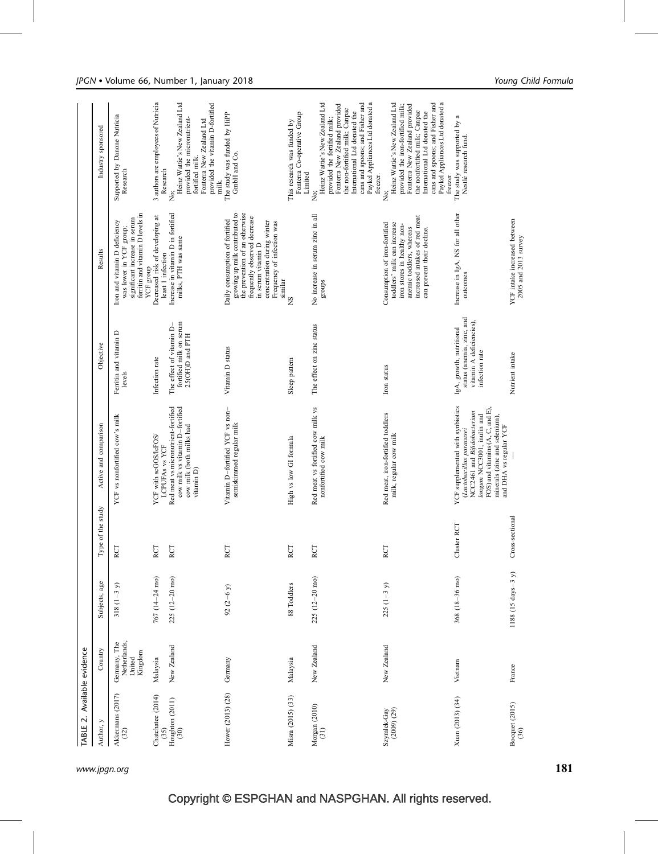<span id="page-4-0"></span>

| TABLE 2. Available evidence                                                    |                                                   |                         |                   |                                                                                                                                                                                                                          |                                                                                                     |                                                                                                                                                                                                                                  |                                                                                                                                                                                                                                                                    |
|--------------------------------------------------------------------------------|---------------------------------------------------|-------------------------|-------------------|--------------------------------------------------------------------------------------------------------------------------------------------------------------------------------------------------------------------------|-----------------------------------------------------------------------------------------------------|----------------------------------------------------------------------------------------------------------------------------------------------------------------------------------------------------------------------------------|--------------------------------------------------------------------------------------------------------------------------------------------------------------------------------------------------------------------------------------------------------------------|
| Author, y                                                                      | Country                                           | Subjects, age           | Type of the study | Active and comparison                                                                                                                                                                                                    | Objective                                                                                           | Results                                                                                                                                                                                                                          | Industry sponsored                                                                                                                                                                                                                                                 |
| Akkermans (2017)<br>(32)                                                       | Germany, The<br>Netherlands,<br>Kingdom<br>United | $318(1-3 y)$            | RCT               | YCF vs nonfortified cow's milk                                                                                                                                                                                           | Ferritin and vitamin D<br>levels                                                                    | ferritin and vitamin D levels in<br>significant increase in serum<br>Iron and vitamin D deficiency<br>was lower in YCF group;<br>YCF group                                                                                       | Supported by Danone Nutricia<br>Research                                                                                                                                                                                                                           |
| Chatchatee (2014)                                                              | Malaysia                                          | 767 (14-24 mo)          | RCT               | YCF with scGOS/lcFOS/<br>LCPUFAS vs YCF                                                                                                                                                                                  | Infection rate                                                                                      | Decreased risk of developing at<br>least 1 infection                                                                                                                                                                             | 3 authors are employees of Nutricia<br>Research                                                                                                                                                                                                                    |
| $\begin{array}{c} (35) \\ \text{Houghton} \ (2011) \\ (30) \end{array}$        | New Zealand                                       | $225(12-20 \text{ mo})$ | RCT               | cow milk vs vitamin D-fortified<br>Red meat vs micronutrient-fortified<br>cow milk (both milks had<br>vitamin D)                                                                                                         | fortified milk on serum<br>The effect of vitamin D-<br>25(OH)D and PTH                              | Increase in vitamin D in fortified<br>milks, PTH was same                                                                                                                                                                        | Heinz Wattie's New Zealand Ltd<br>provided the vitamin D-fortified<br>provided the micronutrient-<br>Fonterra New Zealand Ltd<br>fortified milk.<br>milk.<br>,<br>Ž                                                                                                |
| Hower (2013) (28)                                                              | Germany                                           | 92 $(2-6 y)$            | RCT               | Vitamin D-fortified YCF vs non-<br>semiskimmed regular milk                                                                                                                                                              | Vitamin D status                                                                                    | growing up milk contributed to<br>the prevention of an otherwise<br>frequently observed decrease<br>Daily consumption of fortified<br>concentration during winter<br>Frequency of infection was<br>in serum vitamin D<br>similar | The study was funded by HiPP<br>GmbH and Co.                                                                                                                                                                                                                       |
| Misra (2015) (33)                                                              | Malaysia                                          | 88 Toddlers             | RCT               | High vs low GI formula                                                                                                                                                                                                   | Sleep pattern                                                                                       | ž                                                                                                                                                                                                                                | Fonterra Co-operative Group<br>This research was funded by<br>Limited                                                                                                                                                                                              |
| Morgan $(2010)$ $(31)$                                                         | New Zealand                                       | $225(12-20 \text{ mo})$ | RCT               | Red meat vs fortified cow milk vs<br>nonfortified cow milk                                                                                                                                                               | The effect on zinc status                                                                           | No increase in serum zinc in all<br>sdno.fa                                                                                                                                                                                      | Heinz Wattie's New Zealand Ltd<br>cans and spoons; and Fisher and<br>Paykel Appliances Ltd donated a<br>Fonterra New Zealand provided<br>the non-fortified milk; Canpac<br>International Ltd donated the<br>provided the fortified milk;<br>freezer.<br>.<br>Ž     |
| $\begin{array}{c} \text{Symlek-Gay} \\ \text{(2009)} \text{ (29)} \end{array}$ | New Zealand                                       | $225(1-3y)$             | RCT               | Red meat, iron-fortified toddlers<br>milk, regular cow milk                                                                                                                                                              | Iron status                                                                                         | increased intakes of red meat<br>Consumption of iron-fortified<br>toddlers' milk can increase<br>iron stores in healthy non-<br>anemic toddlers, whereas<br>can prevent their decline.                                           | Heinz Wattie's New Zealand Ltd<br>Paykel Appliances Ltd donated a<br>cans and spoons; and Fisher and<br>provided the iron-fortified milk;<br>Fonterra New Zealand provided<br>the nonfortified milk; Canpac<br>International Ltd donated the<br>freezer.<br>.<br>Ž |
| Xuan (2013) (34)                                                               | Vietnam                                           | $368(18-36 \text{ mo})$ | Cluster RCT       | YCF supplemented with synbiotics<br>FOS) and vitamins (A, C, and E).<br>(Lactobacillus paracasei<br>NCC2461 and Bifidobacterium<br>longum NCC3001; inulin and<br>minerals (zinc and selenium),<br>and DHA vs regular YCF | status (anemia, zinc, and<br>vitamin A deficiencies),<br>IgA, growth, nutritional<br>infection rate | Increase in IgA, NS for all other<br>outcomes                                                                                                                                                                                    | The study was supported by a<br>Nestlé research fund.                                                                                                                                                                                                              |
| Bocquet (2015)<br>(36)                                                         | France                                            | $1188$ (15 days-3 y)    | Cross-sectional   |                                                                                                                                                                                                                          | Nutrient intake                                                                                     | YCF intake increased between<br>2005 and 2013 survey                                                                                                                                                                             |                                                                                                                                                                                                                                                                    |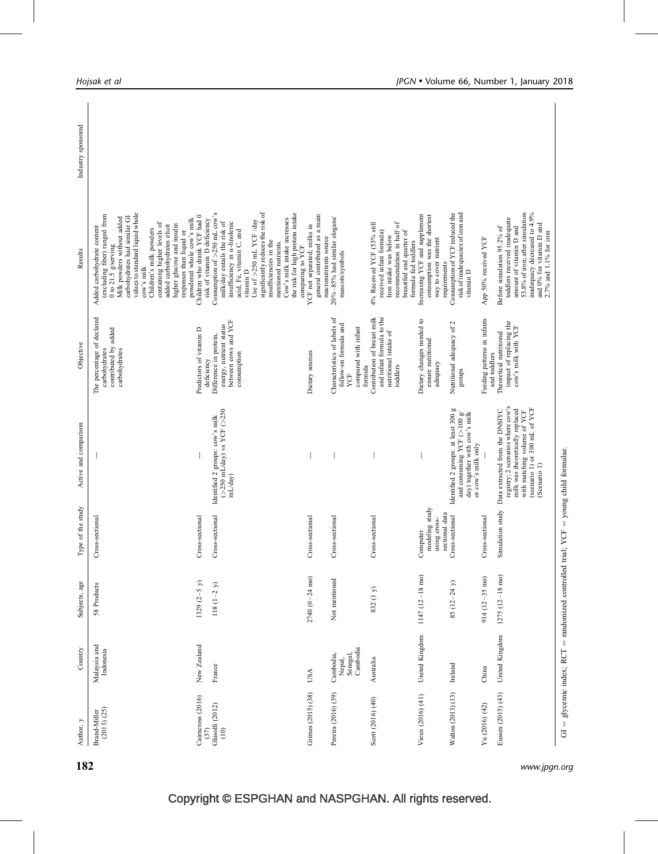| Author, y                   | Country                                                                                     | Subjects, age            | Type of the study                                            | Active and comparison                                                                                                                                                                  | Objective                                                                                       | Results                                                                                                                                                                                                                                                                                                                                                                             | Industry sponsored |
|-----------------------------|---------------------------------------------------------------------------------------------|--------------------------|--------------------------------------------------------------|----------------------------------------------------------------------------------------------------------------------------------------------------------------------------------------|-------------------------------------------------------------------------------------------------|-------------------------------------------------------------------------------------------------------------------------------------------------------------------------------------------------------------------------------------------------------------------------------------------------------------------------------------------------------------------------------------|--------------------|
| (2013) (25)<br>Brand-Miller | Malaysia and<br>Indonesia                                                                   | 58 Products              | sectional<br>Cross-                                          |                                                                                                                                                                                        | The percentage of declared<br>contributed by added<br>carbohydrates<br>carbohydrates            | values to standard liquid whole<br>(excluding fiber) ranged from<br>carbohydrates had similar GI<br>Milk powders without added<br>powdered whole cow's milk<br>containing higher levels of<br>higher glucose and insulin<br>added carbohydrates elicit<br>Added carbohydrate content<br>Children's milk powders<br>responses than liquid or<br>0 to 21.5 $g$ /serving<br>cow's milk |                    |
| Caimcross (2016)<br>(37)    | New Zealand                                                                                 | $1329 (2-5 y)$           | Cross-sectional                                              |                                                                                                                                                                                        | Predictors of vitamin D<br>deficiency                                                           | Children who drank YCF had 0<br>risk of vitamin D deficiency                                                                                                                                                                                                                                                                                                                        |                    |
| Ghisolfi (2012)<br>$(10)$   | France                                                                                      | $118(1-2 y)$             | Cross-sectional                                              | Identified 2 groups: cow's milk<br>$(>250 \text{ mL/day})$ vs YCF $(>250$<br>mL/day)                                                                                                   | between cows and YCF<br>energy, nutrient status<br>Difference in protein,<br>consumption        | Consumption of $>250$ mL cow's<br>milk/day entails the risk of<br>insufficiency in a-linolenic<br>acid, Fe, vitamin $\mathcal{C},$ and vitamin $\mathcal{D}$                                                                                                                                                                                                                        |                    |
|                             |                                                                                             |                          |                                                              |                                                                                                                                                                                        |                                                                                                 | significantly reduces the risk of<br>the risk for high protein intake<br>Cow's milk intake increases<br>Use of >250 mL YCF /day<br>insufficiencies in the<br>mentioned nutrients.<br>comparing to YCF                                                                                                                                                                               |                    |
| Grimes (2015) (38)          | USA                                                                                         | $2740~(0-24~\text{mo})$  | Cross-sectional                                              |                                                                                                                                                                                        | Dietary sources                                                                                 | general contributed as a main<br>YCF not separated; milks in<br>macronutrients source                                                                                                                                                                                                                                                                                               |                    |
| Pereira (2016) (39)         | Nepal,<br>Senegal,<br>Cambodia<br>Cambodia,                                                 | Not mentioned            | Cross-sectional                                              |                                                                                                                                                                                        | Characteristics of labels of<br>follow-on formula and<br>compared with infant<br>formula<br>YCF | $20\% - 85\%$ had similar slogans/<br>mascots/symbols                                                                                                                                                                                                                                                                                                                               |                    |
| Scott (2016) (40)           | Australia                                                                                   | 832 (1 y)                | Cross-sectional                                              |                                                                                                                                                                                        | Contribution of breast milk<br>and infant formula to the<br>nutritional intake of<br>toddlers   | 4% Received YCF (53% still<br>recommendation in half of<br>received infant formula)<br>breastfed and quarter of<br>Iron intake was below<br>formula fed toddlers                                                                                                                                                                                                                    |                    |
| Vieux (2016) (41)           | United Kingdom                                                                              | 1147 (12-18 mo)          | modeling study<br>sectional data<br>using cross-<br>Computer |                                                                                                                                                                                        | Dietary changes needed to<br>ensure nutritional<br>adequacy                                     | Increasing YCF and supplement<br>consumption was the shortest<br>way to cover nutrient<br>requirements                                                                                                                                                                                                                                                                              |                    |
| Walton (2013) (13)          | Ireland                                                                                     | 85 $(12 - 24y)$          | Cross-sectional                                              | Identified 2 groups: at least 300 g<br>and consuming YCF ( $>100$ g/<br>day) together with cow's milk<br>or cow's milk only                                                            | Nutritional adequacy of 2<br>schous                                                             | Consumption of YCF reduced the<br>risk of inadequacies of iron and<br>vitamin D                                                                                                                                                                                                                                                                                                     |                    |
| Yu (2016) (42)              | China                                                                                       | $914(12 - 35$ mo)        | Cross-sectional                                              |                                                                                                                                                                                        | Feeding patterns in infants<br>and toddlers                                                     | App 50% received YCF                                                                                                                                                                                                                                                                                                                                                                |                    |
| Eussen (2015) (43)          | United Kingdom                                                                              | $1275(12-18 \text{ mo})$ | Simulation study                                             | registry; 2 scenarios where cow's<br>(scenario 1) or 300 mL of YCF<br>milk was theoretically replaced<br>Data extracted from the DNSIYC<br>with matching volume of YCF<br>(Scenario 1) | impact of replacing the<br>cow's milk with YCF<br>Theoretical nutritional                       | 53.8% of iron; after simulation<br>inadequacy decreased to 4.9%<br>toddlers received inadequate<br>and 0% for vitamin D and<br>Before simulation 95.2% of<br>amount of vitamin D and<br>2.7% and 1.1% for iron                                                                                                                                                                      |                    |
|                             | $GI = glycenti$ index; $RCT = randomized controlled trial$ ; $YCF = young child formulae$ . |                          |                                                              |                                                                                                                                                                                        |                                                                                                 |                                                                                                                                                                                                                                                                                                                                                                                     |                    |

182 www.jpgn.org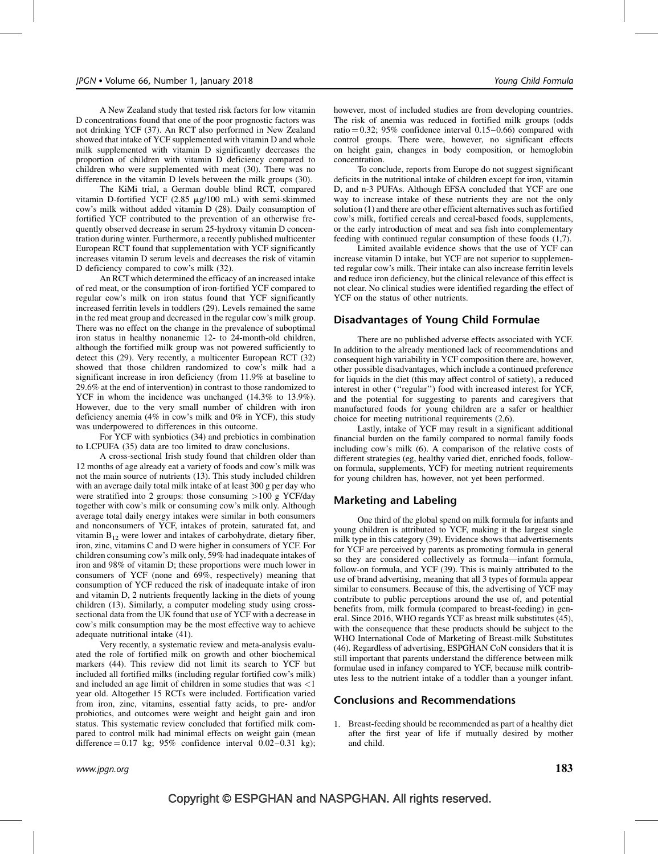A New Zealand study that tested risk factors for low vitamin D concentrations found that one of the poor prognostic factors was not drinking YCF [\(37\)](#page-8-0). An RCT also performed in New Zealand showed that intake of YCF supplemented with vitamin D and whole milk supplemented with vitamin D significantly decreases the proportion of children with vitamin D deficiency compared to children who were supplemented with meat [\(30\)](#page-7-0). There was no difference in the vitamin D levels between the milk groups [\(30\)](#page-7-0).

The KiMi trial, a German double blind RCT, compared vitamin D-fortified YCF (2.85  $\mu$ g/100 mL) with semi-skimmed cow's milk without added vitamin D [\(28\)](#page-7-0). Daily consumption of fortified YCF contributed to the prevention of an otherwise frequently observed decrease in serum 25-hydroxy vitamin D concentration during winter. Furthermore, a recently published multicenter European RCT found that supplementation with YCF significantly increases vitamin D serum levels and decreases the risk of vitamin D deficiency compared to cow's milk [\(32\).](#page-8-0)

An RCTwhich determined the efficacy of an increased intake of red meat, or the consumption of iron-fortified YCF compared to regular cow's milk on iron status found that YCF significantly increased ferritin levels in toddlers [\(29\)](#page-7-0). Levels remained the same in the red meat group and decreased in the regular cow's milk group. There was no effect on the change in the prevalence of suboptimal iron status in healthy nonanemic 12- to 24-month-old children, although the fortified milk group was not powered sufficiently to detect this [\(29\).](#page-7-0) Very recently, a multicenter European RCT [\(32\)](#page-8-0) showed that those children randomized to cow's milk had a significant increase in iron deficiency (from 11.9% at baseline to 29.6% at the end of intervention) in contrast to those randomized to YCF in whom the incidence was unchanged (14.3% to 13.9%). However, due to the very small number of children with iron deficiency anemia (4% in cow's milk and 0% in YCF), this study was underpowered to differences in this outcome.

For YCF with synbiotics [\(34\)](#page-8-0) and prebiotics in combination to LCPUFA [\(35\)](#page-8-0) data are too limited to draw conclusions.

A cross-sectional Irish study found that children older than 12 months of age already eat a variety of foods and cow's milk was not the main source of nutrients [\(13\)](#page-7-0). This study included children with an average daily total milk intake of at least 300 g per day who were stratified into 2 groups: those consuming  $>100$  g YCF/day together with cow's milk or consuming cow's milk only. Although average total daily energy intakes were similar in both consumers and nonconsumers of YCF, intakes of protein, saturated fat, and vitamin  $B_{12}$  were lower and intakes of carbohydrate, dietary fiber, iron, zinc, vitamins C and D were higher in consumers of YCF. For children consuming cow's milk only, 59% had inadequate intakes of iron and 98% of vitamin D; these proportions were much lower in consumers of YCF (none and 69%, respectively) meaning that consumption of YCF reduced the risk of inadequate intake of iron and vitamin D, 2 nutrients frequently lacking in the diets of young children [\(13\)](#page-7-0). Similarly, a computer modeling study using crosssectional data from the UK found that use of YCF with a decrease in cow's milk consumption may be the most effective way to achieve adequate nutritional intake [\(41\)](#page-8-0).

Very recently, a systematic review and meta-analysis evaluated the role of fortified milk on growth and other biochemical markers [\(44\).](#page-8-0) This review did not limit its search to YCF but included all fortified milks (including regular fortified cow's milk) and included an age limit of children in some studies that was <1 year old. Altogether 15 RCTs were included. Fortification varied from iron, zinc, vitamins, essential fatty acids, to pre- and/or probiotics, and outcomes were weight and height gain and iron status. This systematic review concluded that fortified milk compared to control milk had minimal effects on weight gain (mean difference  $= 0.17$  kg; 95% confidence interval 0.02–0.31 kg); however, most of included studies are from developing countries. The risk of anemia was reduced in fortified milk groups (odds ratio  $= 0.32$ ; 95% confidence interval 0.15–0.66) compared with control groups. There were, however, no significant effects on height gain, changes in body composition, or hemoglobin concentration.

To conclude, reports from Europe do not suggest significant deficits in the nutritional intake of children except for iron, vitamin D, and n-3 PUFAs. Although EFSA concluded that YCF are one way to increase intake of these nutrients they are not the only solution [\(1\)](#page-7-0) and there are other efficient alternatives such as fortified cow's milk, fortified cereals and cereal-based foods, supplements, or the early introduction of meat and sea fish into complementary feeding with continued regular consumption of these foods [\(1,7\)](#page-7-0).

Limited available evidence shows that the use of YCF can increase vitamin D intake, but YCF are not superior to supplemented regular cow's milk. Their intake can also increase ferritin levels and reduce iron deficiency, but the clinical relevance of this effect is not clear. No clinical studies were identified regarding the effect of YCF on the status of other nutrients.

#### Disadvantages of Young Child Formulae

There are no published adverse effects associated with YCF. In addition to the already mentioned lack of recommendations and consequent high variability in YCF composition there are, however, other possible disadvantages, which include a continued preference for liquids in the diet (this may affect control of satiety), a reduced interest in other (''regular'') food with increased interest for YCF, and the potential for suggesting to parents and caregivers that manufactured foods for young children are a safer or healthier choice for meeting nutritional requirements [\(2,6\).](#page-7-0)

Lastly, intake of YCF may result in a significant additional financial burden on the family compared to normal family foods including cow's milk [\(6\).](#page-7-0) A comparison of the relative costs of different strategies (eg, healthy varied diet, enriched foods, followon formula, supplements, YCF) for meeting nutrient requirements for young children has, however, not yet been performed.

#### Marketing and Labeling

One third of the global spend on milk formula for infants and young children is attributed to YCF, making it the largest single milk type in this category [\(39\).](#page-8-0) Evidence shows that advertisements for YCF are perceived by parents as promoting formula in general so they are considered collectively as formula—infant formula, follow-on formula, and YCF [\(39\)](#page-8-0). This is mainly attributed to the use of brand advertising, meaning that all 3 types of formula appear similar to consumers. Because of this, the advertising of YCF may contribute to public perceptions around the use of, and potential benefits from, milk formula (compared to breast-feeding) in general. Since 2016, WHO regards YCF as breast milk substitutes [\(45\),](#page-8-0) with the consequence that these products should be subject to the WHO International Code of Marketing of Breast-milk Substitutes [\(46\).](#page-8-0) Regardless of advertising, ESPGHAN CoN considers that it is still important that parents understand the difference between milk formulae used in infancy compared to YCF, because milk contributes less to the nutrient intake of a toddler than a younger infant.

#### Conclusions and Recommendations

1. Breast-feeding should be recommended as part of a healthy diet after the first year of life if mutually desired by mother and child.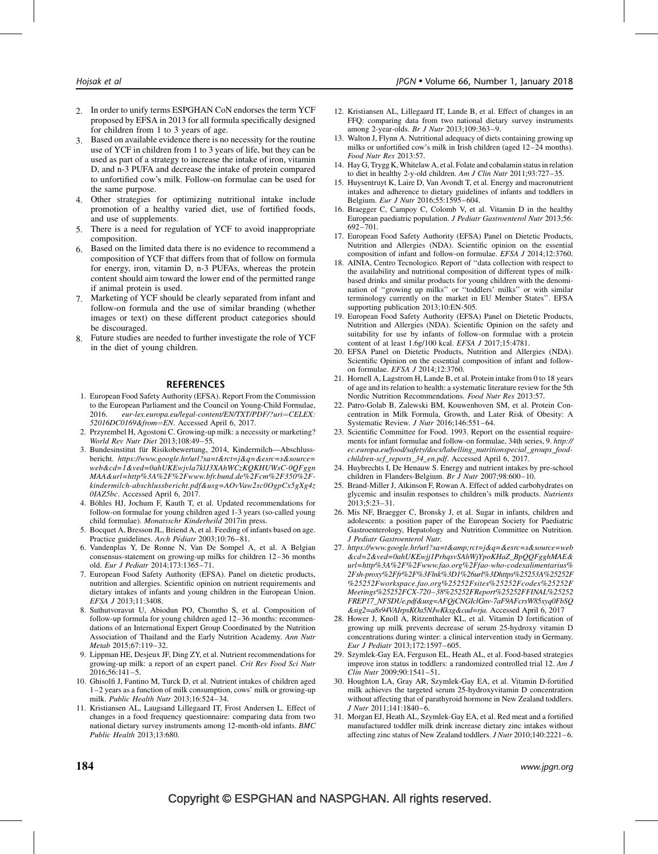- <span id="page-7-0"></span>2. In order to unify terms ESPGHAN CoN endorses the term YCF proposed by EFSA in 2013 for all formula specifically designed for children from 1 to 3 years of age.
- 3. Based on available evidence there is no necessity for the routine use of YCF in children from 1 to 3 years of life, but they can be used as part of a strategy to increase the intake of iron, vitamin D, and n-3 PUFA and decrease the intake of protein compared to unfortified cow's milk. Follow-on formulae can be used for the same purpose.
- 4. Other strategies for optimizing nutritional intake include promotion of a healthy varied diet, use of fortified foods, and use of supplements.
- 5. There is a need for regulation of YCF to avoid inappropriate composition.
- 6. Based on the limited data there is no evidence to recommend a composition of YCF that differs from that of follow on formula for energy, iron, vitamin D, n-3 PUFAs, whereas the protein content should aim toward the lower end of the permitted range if animal protein is used.
- 7. Marketing of YCF should be clearly separated from infant and follow-on formula and the use of similar branding (whether images or text) on these different product categories should be discouraged.
- Future studies are needed to further investigate the role of YCF in the diet of young children.

#### REFERENCES

- 1. European Food Safety Authority (EFSA). Report From the Commission to the European Parliament and the Council on Young-Child Formulae, 2016. eur-lex.europa.eu/legal-content/EN/TXT/PDF/?uri=CELEX: 52016DC0169&from=EN. Accessed April 6, 2017.
- 2. Przyrembel H, Agostoni C. Growing-up milk: a necessity or marketing? World Rev Nutr Diet 2013;108:49–55.
- 3. Bundesinstitut für Risikobewertung, 2014, Kindermilch-Abschlussbericht. [https://www.google.hr/url?sa=t&rct=j&q=&esrc=s&source=](https://www.google.hr/url?sa=t&rct=j&q=&esrc=s&source=web&cd=1&ved=0ahUKEwjvla7klJ3XAhWCzKQKHUWsC-0QFggnMAA&url=http%3A%2F%2Fwww.bfr.bund.de%2Fcm%2F350%2Fkindermilch-abschlussbericht.pdf&usg=AOvVaw2sc0OgpCx5gXg4z0IAZ5bc) [web&cd=1&ved=0ahUKEwjvla7klJ3XAhWCzKQKHUWsC-0QFggn](https://www.google.hr/url?sa=t&rct=j&q=&esrc=s&source=web&cd=1&ved=0ahUKEwjvla7klJ3XAhWCzKQKHUWsC-0QFggnMAA&url=http%3A%2F%2Fwww.bfr.bund.de%2Fcm%2F350%2Fkindermilch-abschlussbericht.pdf&usg=AOvVaw2sc0OgpCx5gXg4z0IAZ5bc) [MAA&url=http%3A%2F%2Fwww.bfr.bund.de%2Fcm%2F350%2F](https://www.google.hr/url?sa=t&rct=j&q=&esrc=s&source=web&cd=1&ved=0ahUKEwjvla7klJ3XAhWCzKQKHUWsC-0QFggnMAA&url=http%3A%2F%2Fwww.bfr.bund.de%2Fcm%2F350%2Fkindermilch-abschlussbericht.pdf&usg=AOvVaw2sc0OgpCx5gXg4z0IAZ5bc)[kindermilch-abschlussbericht.pdf&usg=AOvVaw2sc0OgpCx5gXg4z](https://www.google.hr/url?sa=t&rct=j&q=&esrc=s&source=web&cd=1&ved=0ahUKEwjvla7klJ3XAhWCzKQKHUWsC-0QFggnMAA&url=http%3A%2F%2Fwww.bfr.bund.de%2Fcm%2F350%2Fkindermilch-abschlussbericht.pdf&usg=AOvVaw2sc0OgpCx5gXg4z0IAZ5bc) [0IAZ5bc](https://www.google.hr/url?sa=t&rct=j&q=&esrc=s&source=web&cd=1&ved=0ahUKEwjvla7klJ3XAhWCzKQKHUWsC-0QFggnMAA&url=http%3A%2F%2Fwww.bfr.bund.de%2Fcm%2F350%2Fkindermilch-abschlussbericht.pdf&usg=AOvVaw2sc0OgpCx5gXg4z0IAZ5bc). Accessed April 6, 2017.
- 4. Böhles HJ, Jochum F, Kauth T, et al. Updated recommendations for follow-on formulae for young children aged 1-3 years (so-called young child formulae). Monatsschr Kinderheild 2017in press.
- 5. Bocquet A, Bresson JL, Briend A, et al. Feeding of infants based on age. Practice guidelines. Arch Pédiatr 2003;10:76–81.
- 6. Vandenplas Y, De Ronne N, Van De Sompel A, et al. A Belgian consensus-statement on growing-up milks for children 12–36 months old. Eur J Pediatr 2014;173:1365–71.
- 7. European Food Safety Authority (EFSA). Panel on dietetic products, nutrition and allergies. Scientific opinion on nutrient requirements and dietary intakes of infants and young children in the European Union. EFSA J 2013;11:3408.
- 8. Suthutvoravut U, Abiodun PO, Chomtho S, et al. Composition of follow-up formula for young children aged 12–36 months: recommendations of an International Expert Group Coordinated by the Nutrition Association of Thailand and the Early Nutrition Academy. Ann Nutr Metab 2015;67:119–32.
- 9. Lippman HE, Desjeux JF, Ding ZY, et al. Nutrient recommendations for growing-up milk: a report of an expert panel. Crit Rev Food Sci Nutr 2016;56:141–5.
- 10. Ghisolfi J, Fantino M, Turck D, et al. Nutrient intakes of children aged 1–2 years as a function of milk consumption, cows' milk or growing-up milk. Public Health Nutr 2013;16:524–34.
- 11. Kristiansen AL, Laugsand Lillegaard IT, Frost Andersen L. Effect of changes in a food frequency questionnaire: comparing data from two national dietary survey instruments among 12-month-old infants. BMC Public Health 2013;13:680.
- 12. Kristiansen AL, Lillegaard IT, Lande B, et al. Effect of changes in an FFQ: comparing data from two national dietary survey instruments among 2-year-olds. Br J Nutr 2013;109:363–9.
- 13. Walton J, Flynn A. Nutritional adequacy of diets containing growing up milks or unfortified cow's milk in Irish children (aged 12–24 months). Food Nutr Res 2013:57.
- 14. Hay G, Trygg K, Whitelaw A, et al. Folate and cobalamin status in relation to diet in healthy 2-y-old children. Am J Clin Nutr 2011;93:727–35.
- 15. Huysentruyt K, Laire D, Van Avondt T, et al. Energy and macronutrient intakes and adherence to dietary guidelines of infants and toddlers in Belgium. Eur J Nutr 2016;55:1595–604.
- 16. Braegger C, Campoy C, Colomb V, et al. Vitamin D in the healthy European paediatric population. J Pediatr Gastroenterol Nutr 2013;56: 692–701.
- 17. European Food Safety Authority (EFSA) Panel on Dietetic Products, Nutrition and Allergies (NDA). Scientific opinion on the essential composition of infant and follow-on formulae. EFSA J 2014;12:3760.
- 18. AINIA, Centro Tecnologico. Report of ''data collection with respect to the availability and nutritional composition of different types of milkbased drinks and similar products for young children with the denomination of ''growing up milks'' or ''toddlers' milks'' or with similar terminology currently on the market in EU Member States''. EFSA supporting publication 2013;10:EN-505.
- 19. European Food Safety Authority (EFSA) Panel on Dietetic Products, Nutrition and Allergies (NDA). Scientific Opinion on the safety and suitability for use by infants of follow-on formulae with a protein content of at least 1.6g/100 kcal. EFSA J 2017;15:4781.
- 20. EFSA Panel on Dietetic Products, Nutrition and Allergies (NDA). Scientific Opinion on the essential composition of infant and followon formulae. EFSA J 2014;12:3760.
- 21. Hornell A, Lagstrom H, Lande B, et al. Protein intake from 0 to 18 years of age and its relation to health: a systematic literature review for the 5th Nordic Nutrition Recommendations. Food Nutr Res 2013:57.
- 22. Patro-Golab B, Zalewski BM, Kouwenhoven SM, et al. Protein Concentration in Milk Formula, Growth, and Later Risk of Obesity: A Systematic Review. J Nutr 2016;146:551–64.
- 23. Scientific Committee for Food. 1993. Report on the essential requirements for infant formulae and follow-on formulae, 34th series, 9. [http://](http://ec.europa.eu/food/safety/docs/labelling_nutritionspecial_groups_food-children-scf_reports_34_en.pdf) [ec.europa.eu/food/safety/docs/labelling\\_nutritionspecial\\_groups\\_food](http://ec.europa.eu/food/safety/docs/labelling_nutritionspecial_groups_food-children-scf_reports_34_en.pdf)[children-scf\\_reports\\_34\\_en.pdf](http://ec.europa.eu/food/safety/docs/labelling_nutritionspecial_groups_food-children-scf_reports_34_en.pdf). Accessed April 6, 2017.
- 24. Huybrechts I, De Henauw S. Energy and nutrient intakes by pre-school children in Flanders-Belgium. Br J Nutr 2007;98:600–10.
- 25. Brand-Miller J, Atkinson F, Rowan A. Effect of added carbohydrates on glycemic and insulin responses to children's milk products. Nutrients 2013;5:23–31.
- 26. Mis NF, Braegger C, Bronsky J, et al. Sugar in infants, children and adolescents: a position paper of the European Society for Paediatric Gastroenterology, Hepatology and Nutrition Committee on Nutrition. J Pediatr Gastroenterol Nutr.
- 27. [https://www.google.hr/url?sa=t&rct=j&q=&esrc=s&source=web](https://www.google.hr/url?sa=t&rct=j&q=&esrc=s&source=web&cd=2&ved=0ahUKEwjj1PrhqsvSAhWjYpoKHaZ_BpQQFgghMAE&url=http%3A%2F%2Fwww.fao.org%2Ffao-who-codexalimentarius%2Fsh-proxy%2Ffr%2F%3Flnk%3D1%26url%3Dhttps%25253A%25252F%25252Fworkspace.fao.org%25252Fsites%25252Fcodex%25252FMeetings%25252FCX-720-38%25252FReport%25252FFINAL%25252FREP17_NFSDUe.pdf&usg=AFQjCNGIclGnv-7aF9AFcrsW85xyq0FbSQ&sig2=a8s94VAIrpsKOa5NJwKkxg&cad=rja) [&cd=2&ved=0ahUKEwjj1PrhqsvSAhWjYpoKHaZ\\_BpQQFgghMAE&](https://www.google.hr/url?sa=t&rct=j&q=&esrc=s&source=web&cd=2&ved=0ahUKEwjj1PrhqsvSAhWjYpoKHaZ_BpQQFgghMAE&url=http%3A%2F%2Fwww.fao.org%2Ffao-who-codexalimentarius%2Fsh-proxy%2Ffr%2F%3Flnk%3D1%26url%3Dhttps%25253A%25252F%25252Fworkspace.fao.org%25252Fsites%25252Fcodex%25252FMeetings%25252FCX-720-38%25252FReport%25252FFINAL%25252FREP17_NFSDUe.pdf&usg=AFQjCNGIclGnv-7aF9AFcrsW85xyq0FbSQ&sig2=a8s94VAIrpsKOa5NJwKkxg&cad=rja) [url=http%3A%2F%2Fwww.fao.org%2Ffao-who-codexalimentarius%](https://www.google.hr/url?sa=t&rct=j&q=&esrc=s&source=web&cd=2&ved=0ahUKEwjj1PrhqsvSAhWjYpoKHaZ_BpQQFgghMAE&url=http%3A%2F%2Fwww.fao.org%2Ffao-who-codexalimentarius%2Fsh-proxy%2Ffr%2F%3Flnk%3D1%26url%3Dhttps%25253A%25252F%25252Fworkspace.fao.org%25252Fsites%25252Fcodex%25252FMeetings%25252FCX-720-38%25252FReport%25252FFINAL%25252FREP17_NFSDUe.pdf&usg=AFQjCNGIclGnv-7aF9AFcrsW85xyq0FbSQ&sig2=a8s94VAIrpsKOa5NJwKkxg&cad=rja) [2Fsh-proxy%2Ffr%2F%3Flnk%3D1%26url%3Dhttps%25253A%25252F](https://www.google.hr/url?sa=t&rct=j&q=&esrc=s&source=web&cd=2&ved=0ahUKEwjj1PrhqsvSAhWjYpoKHaZ_BpQQFgghMAE&url=http%3A%2F%2Fwww.fao.org%2Ffao-who-codexalimentarius%2Fsh-proxy%2Ffr%2F%3Flnk%3D1%26url%3Dhttps%25253A%25252F%25252Fworkspace.fao.org%25252Fsites%25252Fcodex%25252FMeetings%25252FCX-720-38%25252FReport%25252FFINAL%25252FREP17_NFSDUe.pdf&usg=AFQjCNGIclGnv-7aF9AFcrsW85xyq0FbSQ&sig2=a8s94VAIrpsKOa5NJwKkxg&cad=rja) [%25252Fworkspace.fao.org%25252Fsites%25252Fcodex%25252F](https://www.google.hr/url?sa=t&rct=j&q=&esrc=s&source=web&cd=2&ved=0ahUKEwjj1PrhqsvSAhWjYpoKHaZ_BpQQFgghMAE&url=http%3A%2F%2Fwww.fao.org%2Ffao-who-codexalimentarius%2Fsh-proxy%2Ffr%2F%3Flnk%3D1%26url%3Dhttps%25253A%25252F%25252Fworkspace.fao.org%25252Fsites%25252Fcodex%25252FMeetings%25252FCX-720-38%25252FReport%25252FFINAL%25252FREP17_NFSDUe.pdf&usg=AFQjCNGIclGnv-7aF9AFcrsW85xyq0FbSQ&sig2=a8s94VAIrpsKOa5NJwKkxg&cad=rja) [Meetings%25252FCX-720–38%25252FReport%25252FFINAL%25252](https://www.google.hr/url?sa=t&rct=j&q=&esrc=s&source=web&cd=2&ved=0ahUKEwjj1PrhqsvSAhWjYpoKHaZ_BpQQFgghMAE&url=http%3A%2F%2Fwww.fao.org%2Ffao-who-codexalimentarius%2Fsh-proxy%2Ffr%2F%3Flnk%3D1%26url%3Dhttps%25253A%25252F%25252Fworkspace.fao.org%25252Fsites%25252Fcodex%25252FMeetings%25252FCX-720-38%25252FReport%25252FFINAL%25252FREP17_NFSDUe.pdf&usg=AFQjCNGIclGnv-7aF9AFcrsW85xyq0FbSQ&sig2=a8s94VAIrpsKOa5NJwKkxg&cad=rja) [FREP17\\_NFSDUe.pdf&usg=AFQjCNGIclGnv-7aF9AFcrsW85xyq0FbSQ](https://www.google.hr/url?sa=t&rct=j&q=&esrc=s&source=web&cd=2&ved=0ahUKEwjj1PrhqsvSAhWjYpoKHaZ_BpQQFgghMAE&url=http%3A%2F%2Fwww.fao.org%2Ffao-who-codexalimentarius%2Fsh-proxy%2Ffr%2F%3Flnk%3D1%26url%3Dhttps%25253A%25252F%25252Fworkspace.fao.org%25252Fsites%25252Fcodex%25252FMeetings%25252FCX-720-38%25252FReport%25252FFINAL%25252FREP17_NFSDUe.pdf&usg=AFQjCNGIclGnv-7aF9AFcrsW85xyq0FbSQ&sig2=a8s94VAIrpsKOa5NJwKkxg&cad=rja) [&sig2=a8s94VAIrpsKOa5NJwKkxg&cad=rja](https://www.google.hr/url?sa=t&rct=j&q=&esrc=s&source=web&cd=2&ved=0ahUKEwjj1PrhqsvSAhWjYpoKHaZ_BpQQFgghMAE&url=http%3A%2F%2Fwww.fao.org%2Ffao-who-codexalimentarius%2Fsh-proxy%2Ffr%2F%3Flnk%3D1%26url%3Dhttps%25253A%25252F%25252Fworkspace.fao.org%25252Fsites%25252Fcodex%25252FMeetings%25252FCX-720-38%25252FReport%25252FFINAL%25252FREP17_NFSDUe.pdf&usg=AFQjCNGIclGnv-7aF9AFcrsW85xyq0FbSQ&sig2=a8s94VAIrpsKOa5NJwKkxg&cad=rja). Accessed April 6, 2017
- 28. Hower J, Knoll A, Ritzenthaler KL, et al. Vitamin D fortification of growing up milk prevents decrease of serum 25-hydroxy vitamin D concentrations during winter: a clinical intervention study in Germany. Eur J Pediatr 2013;172:1597–605.
- 29. Szymlek-Gay EA, Ferguson EL, Heath AL, et al. Food-based strategies improve iron status in toddlers: a randomized controlled trial 12. Am J Clin Nutr 2009;90:1541–51.
- 30. Houghton LA, Gray AR, Szymlek-Gay EA, et al. Vitamin D-fortified milk achieves the targeted serum 25-hydroxyvitamin D concentration without affecting that of parathyroid hormone in New Zealand toddlers. J Nutr 2011;141:1840–6.
- 31. Morgan EJ, Heath AL, Szymlek-Gay EA, et al. Red meat and a fortified manufactured toddler milk drink increase dietary zinc intakes without affecting zinc status of New Zealand toddlers. J Nutr 2010;140:2221–6.